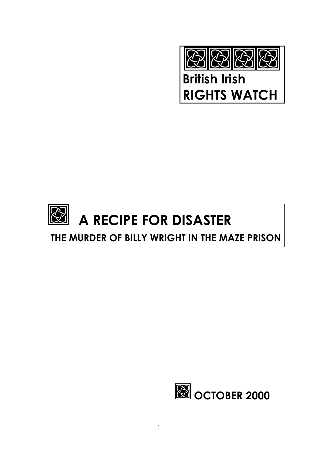

British Irish RIGHTS WATCH

# A RECIPE FOR DISASTER

# THE MURDER OF BILLY WRIGHT IN THE MAZE PRISON

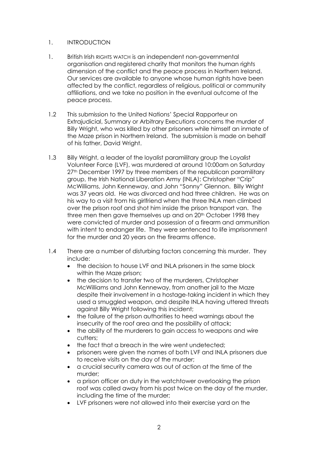### 1. INTRODUCTION

- 1. British Irish RIGHTS WATCH is an independent non-governmental organisation and registered charity that monitors the human rights dimension of the conflict and the peace process in Northern Ireland. Our services are available to anyone whose human rights have been affected by the conflict, regardless of religious, political or community affiliations, and we take no position in the eventual outcome of the peace process.
- 1.2 This submission to the United Nations' Special Rapporteur on Extrajudicial, Summary or Arbitrary Executions concerns the murder of Billy Wright, who was killed by other prisoners while himself an inmate of the Maze prison in Northern Ireland. The submission is made on behalf of his father, David Wright.
- 1.3 Billy Wright, a leader of the loyalist paramilitary group the Loyalist Volunteer Force (LVF), was murdered at around 10:00am on Saturday 27<sup>th</sup> December 1997 by three members of the republican paramilitary group, the Irish National Liberation Army (INLA): Christopher "Crip" McWilliams, John Kenneway, and John "Sonny" Glennon. Billy Wright was 37 years old. He was divorced and had three children. He was on his way to a visit from his girlfriend when the three INLA men climbed over the prison roof and shot him inside the prison transport van. The three men then gave themselves up and on 20<sup>th</sup> October 1998 they were convicted of murder and possession of a firearm and ammunition with intent to endanger life. They were sentenced to life imprisonment for the murder and 20 years on the firearms offence.
- 1.4 There are a number of disturbing factors concerning this murder. They include:
	- the decision to house LVF and INLA prisoners in the same block within the Maze prison:
	- the decision to transfer two of the murderers, Christopher McWilliams and John Kenneway, from another jail to the Maze despite their involvement in a hostage-taking incident in which they used a smuggled weapon, and despite INLA having uttered threats against Billy Wright following this incident;
	- the failure of the prison authorities to heed warnings about the insecurity of the roof area and the possibility of attack;
	- the ability of the murderers to gain access to weapons and wire cutters;
	- the fact that a breach in the wire went undetected:
	- prisoners were given the names of both LVF and INLA prisoners due to receive visits on the day of the murder;
	- a crucial security camera was out of action at the time of the murder;
	- a prison officer on duty in the watchtower overlooking the prison roof was called away from his post twice on the day of the murder, including the time of the murder;
	- LVF prisoners were not allowed into their exercise yard on the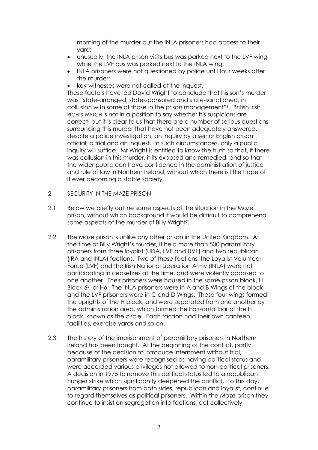morning of the murder but the INLA prisoners had access to their yard;

- unusually, the INLA prison visits bus was parked next to the LVF wing while the LVF bus was parked next to the INLA wing;
- INLA prisoners were not questioned by police until four weeks after the murder;
- key witnesses were not called at the inquest.

These factors have led David Wright to conclude that his son's murder was "state-arranged, state-sponsored and state-sanctioned, in collusion with some of those in the prison management"1. British Irish RIGHTS WATCH is not in a position to say whether his suspicions are correct, but it is clear to us that there are a number of serious questions surrounding this murder that have not been adequately answered, despite a police investigation, an inquiry by a senior English prison official, a trial and an inquest. In such circumstances, only a public inquiry will suffice. Mr Wright is entitled to know the truth so that, if there was collusion in this murder, it its exposed and remedied, and so that the wider public can have confidence in the administration of justice and rule of law in Northern Ireland, without which there is little hope of it ever becoming a stable society.

- 2 SECURITY IN THE MAZE PRISON
- 2.1 Below we briefly outline some aspects of the situation in the Maze prison, without which background it would be difficult to comprehend some aspects of the murder of Billy Wright2.
- 2.2 The Maze prison is unlike any other prison in the United Kingdom. At the time of Billy Wright's murder, it held more than 500 paramilitary prisoners from three loyalist (UDA, LVF and UVF) and two republican (IRA and INLA) factions. Two of these factions, the Loyalist Volunteer Force (LVF) and the Irish National Liberation Army (INLA) were not participating in ceasefires at the time, and were violently opposed to one another. Their prisoners were housed in the same prison block, H Block 63, or H6. The INLA prisoners were in A and B Wings of the block and the LVF prisoners were in C and D Wings. These four wings formed the uprights of the H block, and were separated from one another by the administration area, which formed the horizontal bar of the H block, known as the circle. Each faction had their own canteen facilities, exercise yards and so on.
- 2.3 The history of the imprisonment of paramilitary prisoners in Northern Ireland has been fraught. At the beginning of the conflict, partly because of the decision to introduce internment without trial, paramilitary prisoners were recognised as having political status and were accorded various privileges not allowed to non-political prisoners. A decision in 1975 to remove this political status led to a republican hunger strike which significantly deepened the conflict. To this day, paramilitary prisoners from both sides, republican and loyalist, continue to regard themselves as political prisoners. Within the Maze prison they continue to insist on segregation into factions, act collectively,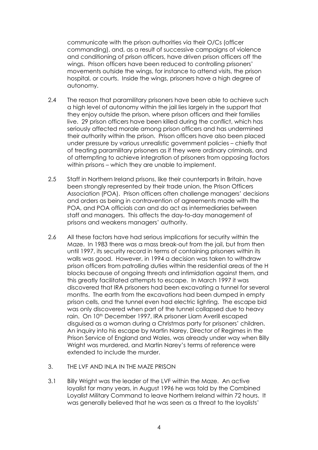communicate with the prison authorities via their O/Cs (officer commanding), and, as a result of successive campaigns of violence and conditioning of prison officers, have driven prison officers off the wings. Prison officers have been reduced to controlling prisoners' movements outside the wings, for instance to attend visits, the prison hospital, or courts. Inside the wings, prisoners have a high degree of autonomy.

- 2.4 The reason that paramilitary prisoners have been able to achieve such a high level of autonomy within the jail lies largely in the support that they enjoy outside the prison, where prison officers and their families live. 29 prison officers have been killed during the conflict, which has seriously affected morale among prison officers and has undermined their authority within the prison. Prison officers have also been placed under pressure by various unrealistic government policies – chiefly that of treating paramilitary prisoners as if they were ordinary criminals, and of attempting to achieve integration of prisoners from opposing factors within prisons – which they are unable to implement.
- 2.5 Staff in Northern Ireland prisons, like their counterparts in Britain, have been strongly represented by their trade union, the Prison Officers Association (POA). Prison officers often challenge managers' decisions and orders as being in contravention of agreements made with the POA, and POA officials can and do act as intermediaries between staff and managers. This affects the day-to-day management of prisons and weakens managers' authority.
- 2.6 All these factors have had serious implications for security within the Maze. In 1983 there was a mass break-out from the jail, but from then until 1997, its security record in terms of containing prisoners within its walls was good. However, in 1994 a decision was taken to withdraw prison officers from patrolling duties within the residential areas of the H blocks because of ongoing threats and intimidation against them, and this greatly facilitated attempts to escape. In March 1997 it was discovered that IRA prisoners had been excavating a tunnel for several months. The earth from the excavations had been dumped in empty prison cells, and the tunnel even had electric lighting. The escape bid was only discovered when part of the tunnel collapsed due to heavy rain. On 10<sup>th</sup> December 1997, IRA prisoner Liam Averill escaped disguised as a woman during a Christmas party for prisoners' children. An inquiry into his escape by Martin Narey, Director of Regimes in the Prison Service of England and Wales, was already under way when Billy Wright was murdered, and Martin Narey's terms of reference were extended to include the murder.
- 3. THE LVF AND INLA IN THE MAZE PRISON
- 3.1 Billy Wright was the leader of the LVF within the Maze. An active loyalist for many years, in August 1996 he was told by the Combined Loyalist Military Command to leave Northern Ireland within 72 hours. It was generally believed that he was seen as a threat to the loyalists'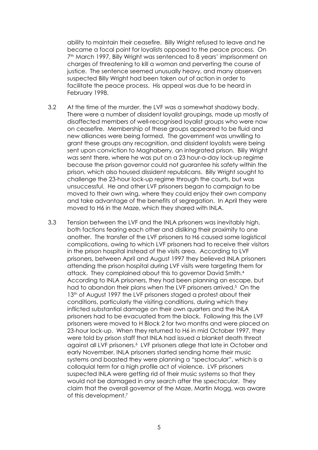ability to maintain their ceasefire. Billy Wright refused to leave and he became a focal point for loyalists opposed to the peace process. On 7th March 1997, Billy Wright was sentenced to 8 years' imprisonment on charges of threatening to kill a woman and perverting the course of justice. The sentence seemed unusually heavy, and many observers suspected Billy Wright had been taken out of action in order to facilitate the peace process. His appeal was due to be heard in February 1998.

- 3.2 At the time of the murder, the LVF was a somewhat shadowy body. There were a number of dissident loyalist groupings, made up mostly of disaffected members of well-recognised loyalist groups who were now on ceasefire. Membership of these groups appeared to be fluid and new alliances were being formed. The government was unwilling to grant these groups any recognition, and dissident loyalists were being sent upon conviction to Maghaberry, an integrated prison. Billy Wright was sent there, where he was put on a 23 hour-a-day lock-up regime because the prison governor could not guarantee his safety within the prison, which also housed dissident republicans. Billy Wright sought to challenge the 23-hour lock-up regime through the courts, but was unsuccessful. He and other LVF prisoners began to campaign to be moved to their own wing, where they could enjoy their own company and take advantage of the benefits of segregation. In April they were moved to H6 in the Maze, which they shared with INLA.
- 3.3 Tension between the LVF and the INLA prisoners was inevitably high, both factions fearing each other and disliking their proximity to one another. The transfer of the LVF prisoners to H6 caused some logistical complications, owing to which LVF prisoners had to receive their visitors in the prison hospital instead of the visits area. According to LVF prisoners, between April and August 1997 they believed INLA prisoners attending the prison hospital during LVF visits were targeting them for attack. They complained about this to governor David Smith.4 According to INLA prisoners, they had been planning an escape, but had to abandon their plans when the LVF prisoners arrived.<sup>5</sup> On the 13<sup>th</sup> of August 1997 the LVF prisoners staged a protest about their conditions, particularly the visiting conditions, during which they inflicted substantial damage on their own quarters and the INLA prisoners had to be evacuated from the block. Following this the LVF prisoners were moved to H Block 2 for two months and were placed on 23-hour lock-up. When they returned to H6 in mid October 1997, they were told by prison staff that INLA had issued a blanket death threat against all LVF prisoners.6 LVF prisoners allege that late in October and early November, INLA prisoners started sending home their music systems and boasted they were planning a "spectacular", which is a colloquial term for a high profile act of violence. LVF prisoners suspected INLA were getting rid of their music systems so that they would not be damaged in any search after the spectacular. They claim that the overall governor of the Maze, Martin Mogg, was aware of this development.7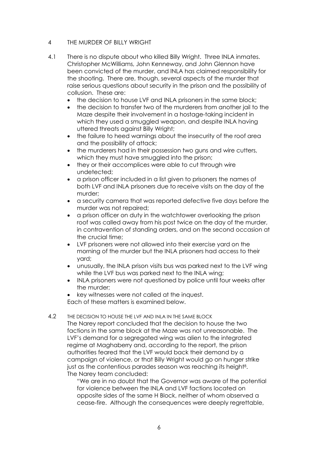## 4 THE MURDER OF BILLY WRIGHT

- 4.1 There is no dispute about who killed Billy Wright. Three INLA inmates. Christopher McWilliams, John Kenneway, and John Glennon have been convicted of the murder, and INLA has claimed responsibility for the shooting. There are, though, several aspects of the murder that raise serious questions about security in the prison and the possibility of collusion. These are:
	- the decision to house LVF and INLA prisoners in the same block;
	- the decision to transfer two of the murderers from another jail to the Maze despite their involvement in a hostage-taking incident in which they used a smuggled weapon, and despite INLA having uttered threats against Billy Wright;
	- the failure to heed warnings about the insecurity of the roof area and the possibility of attack;
	- the murderers had in their possession two guns and wire cutters, which they must have smuggled into the prison;
	- they or their accomplices were able to cut through wire undetected;
	- a prison officer included in a list given to prisoners the names of both LVF and INLA prisoners due to receive visits on the day of the murder;
	- a security camera that was reported defective five days before the murder was not repaired;
	- a prison officer on duty in the watchtower overlooking the prison roof was called away from his post twice on the day of the murder, in contravention of standing orders, and on the second occasion at the crucial time;
	- LVF prisoners were not allowed into their exercise yard on the morning of the murder but the INLA prisoners had access to their yard;
	- unusually, the INLA prison visits bus was parked next to the LVF wing while the LVF bus was parked next to the INLA wing;
	- INLA prisoners were not questioned by police until four weeks after the murder;
	- key witnesses were not called at the inquest. Each of these matters is examined below.
- 4.2 THE DECISION TO HOUSE THE LVF AND INLA IN THE SAME BLOCK The Narey report concluded that the decision to house the two factions in the same block at the Maze was not unreasonable. The LVF's demand for a segregated wing was alien to the integrated regime at Maghaberry and, according to the report, the prison authorities feared that the LVF would back their demand by a campaign of violence, or that Billy Wright would go on hunger strike just as the contentious parades season was reaching its height<sup>8</sup>. The Narey team concluded:

"We are in no doubt that the Governor was aware of the potential for violence between the INLA and LVF factions located on opposite sides of the same H Block, neither of whom observed a cease-fire. Although the consequences were deeply regrettable,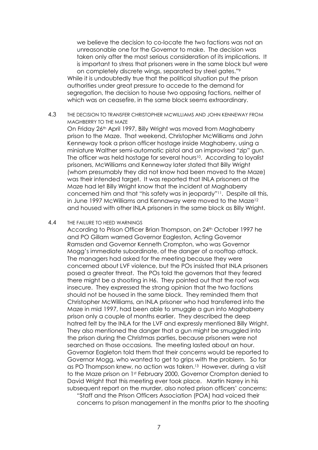we believe the decision to co-locate the two factions was not an unreasonable one for the Governor to make. The decision was taken only after the most serious consideration of its implications. It is important to stress that prisoners were in the same block but were on completely discrete wings, separated by steel gates."9 While it is undoubtedly true that the political situation put the prison authorities under great pressure to accede to the demand for segregation, the decision to house two opposing factions, neither of which was on ceasefire, in the same block seems extraordinary.

4.3 THE DECISION TO TRANSFER CHRISTOPHER McWILLIAMS AND JOHN KENNEWAY FROM MAGHBERRY TO THE MAZE

On Friday 26th April 1997, Billy Wright was moved from Maghaberry prison to the Maze. That weekend, Christopher McWilliams and John Kenneway took a prison officer hostage inside Maghaberry, using a miniature Walther semi-automatic pistol and an improvised "zip" gun. The officer was held hostage for several hours<sup>10</sup>. According to loyalist prisoners, McWilliams and Kenneway later stated that Billy Wright (whom presumably they did not know had been moved to the Maze) was their intended target. It was reported that INLA prisoners at the Maze had let Billy Wright know that the incident at Maghaberry concerned him and that "his safety was in jeopardy"11. Despite all this, in June 1997 McWilliams and Kennaway were moved to the Maze<sup>12</sup> and housed with other INLA prisoners in the same block as Billy Wright.

#### 4.4 THE FAILURE TO HEED WARNINGS

According to Prison Officer Brian Thompson, on 24<sup>th</sup> October 1997 he and PO Gillam warned Governor Eagleston, Acting Governor Ramsden and Governor Kenneth Crompton, who was Governor Mogg's immediate subordinate, of the danger of a rooftop attack. The managers had asked for the meeting because they were concerned about LVF violence, but the POs insisted that INLA prisoners posed a greater threat. The POs told the governors that they feared there might be a shooting in H6. They pointed out that the roof was insecure. They expressed the strong opinion that the two factions should not be housed in the same block. They reminded them that Christopher McWilliams, an INLA prisoner who had transferred into the Maze in mid 1997, had been able to smuggle a gun into Maghaberry prison only a couple of months earlier. They described the deep hatred felt by the INLA for the LVF and expressly mentioned Billy Wright. They also mentioned the danger that a gun might be smuggled into the prison during the Christmas parties, because prisoners were not searched on those occasions. The meeting lasted about an hour. Governor Eagleton told them that their concerns would be reported to Governor Mogg, who wanted to get to grips with the problem. So far as PO Thompson knew, no action was taken.13 However, during a visit to the Maze prison on 1st February 2000, Governor Crompton denied to David Wright that this meeting ever took place. Martin Narey in his subsequent report on the murder, also noted prison officers' concerns: "Staff and the Prison Officers Association (POA) had voiced their

concerns to prison management in the months prior to the shooting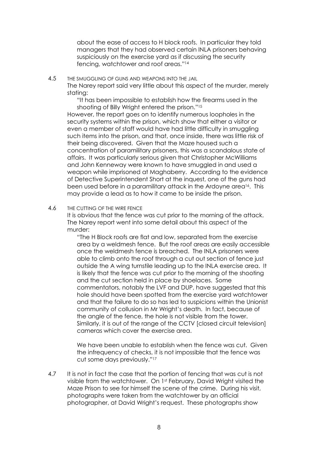about the ease of access to H block roofs. In particular they told managers that they had observed certain INLA prisoners behaving suspiciously on the exercise yard as if discussing the security fencing, watchtower and roof areas."14

#### 4.5 THE SMUGGLING OF GUNS AND WEAPONS INTO THE JAIL

The Narey report said very little about this aspect of the murder, merely stating:

"It has been impossible to establish how the firearms used in the shooting of Billy Wright entered the prison."15

However, the report goes on to identify numerous loopholes in the security systems within the prison, which show that either a visitor or even a member of staff would have had little difficulty in smuggling such items into the prison, and that, once inside, there was little risk of their being discovered. Given that the Maze housed such a concentration of paramilitary prisoners, this was a scandalous state of affairs. It was particularly serious given that Christopher McWilliams and John Kenneway were known to have smuggled in and used a weapon while imprisoned at Maghaberry. According to the evidence of Detective Superintendent Short at the inquest, one of the guns had been used before in a paramilitary attack in the Ardoyne area<sup>16</sup>. This may provide a lead as to how it came to be inside the prison.

#### 4.6 THE CUTTING OF THE WIRE FENCE

It is obvious that the fence was cut prior to the morning of the attack. The Narey report went into some detail about this aspect of the murder:

"The H Block roofs are flat and low, separated from the exercise area by a weldmesh fence. But the roof areas are easily accessible once the weldmesh fence is breached. The INLA prisoners were able to climb onto the roof through a cut out section of fence just outside the A wing turnstile leading up to the INLA exercise area. It is likely that the fence was cut prior to the morning of the shooting and the cut section held in place by shoelaces. Some commentators, notably the LVF and DUP, have suggested that this hole should have been spotted from the exercise yard watchtower and that the failure to do so has led to suspicions within the Unionist community of collusion in Mr Wright's death. In fact, because of the angle of the fence, the hole is not visible from the tower. Similarly, it is out of the range of the CCTV [closed circuit television] cameras which cover the exercise area.

We have been unable to establish when the fence was cut. Given the infrequency of checks, it is not impossible that the fence was cut some days previously."17

4.7 It is not in fact the case that the portion of fencing that was cut is not visible from the watchtower. On 1st February, David Wright visited the Maze Prison to see for himself the scene of the crime. During his visit, photographs were taken from the watchtower by an official photographer, at David Wright's request. These photographs show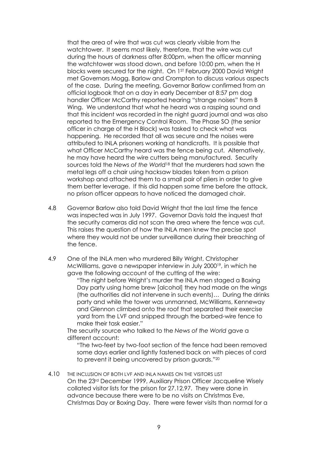that the area of wire that was cut was clearly visible from the watchtower. It seems most likely, therefore, that the wire was cut during the hours of darkness after 8:00pm, when the officer manning the watchtower was stood down, and before 10:00 pm, when the H blocks were secured for the night. On 1ST February 2000 David Wright met Governors Mogg, Barlow and Crompton to discuss various aspects of the case. During the meeting, Governor Barlow confirmed from an official logbook that on a day in early December at 8:57 pm dog handler Officer McCarthy reported hearing "strange noises" from B Wing. We understand that what he heard was a rasping sound and that this incident was recorded in the night guard journal and was also reported to the Emergency Control Room. The Phase SO (the senior officer in charge of the H Block) was tasked to check what was happening. He recorded that all was secure and the noises were attributed to INLA prisoners working at handicrafts. It is possible that what Officer McCarthy heard was the fence being cut. Alternatively, he may have heard the wire cutters being manufactured. Security sources told the *News of the World*<sup>18</sup> that the murderers had sawn the metal legs off a chair using hacksaw blades taken from a prison workshop and attached them to a small pair of pliers in order to give them better leverage. If this did happen some time before the attack, no prison officer appears to have noticed the damaged chair.

- 4.8 Governor Barlow also told David Wright that the last time the fence was inspected was in July 1997. Governor Davis told the inquest that the security cameras did not scan the area where the fence was cut. This raises the question of how the INLA men knew the precise spot where they would not be under surveillance during their breaching of the fence.
- 4.9 One of the INLA men who murdered Billy Wright, Christopher McWilliams, gave a newspaper interview in July 200019, in which he gave the following account of the cutting of the wire:

"The night before Wright's murder the INLA men staged a Boxing Day party using home brew [alcohol] they had made on the wings (the authorities did not intervene in such events)… During the drinks party and while the tower was unmanned, McWilliams, Kenneway and Glennon climbed onto the roof that separated their exercise yard from the LVF and snipped through the barbed-wire fence to make their task easier."

The security source who talked to the *News of the World* gave a different account:

"The two-feet by two-foot section of the fence had been removed some days earlier and lightly fastened back on with pieces of cord to prevent it being uncovered by prison guards."20

4.10 THE INCLUSION OF BOTH LVF AND INLA NAMES ON THE VISITORS LIST On the 23rd December 1999, Auxiliary Prison Officer Jacqueline Wisely collated visitor lists for the prison for 27.12.97. They were done in advance because there were to be no visits on Christmas Eve, Christmas Day or Boxing Day. There were fewer visits than normal for a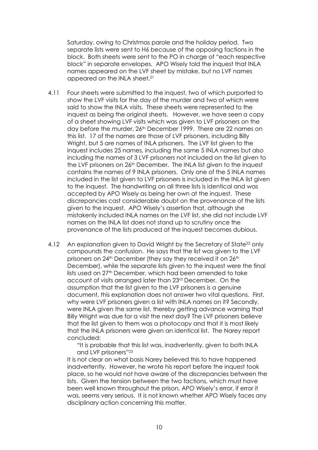Saturday, owing to Christmas parole and the holiday period. Two separate lists were sent to H6 because of the opposing factions in the block. Both sheets were sent to the PO in charge of "each respective block" in separate envelopes. APO Wisely told the inquest that INLA names appeared on the LVF sheet by mistake, but no LVF names appeared on the INLA sheet.21

- 4.11 Four sheets were submitted to the inquest, two of which purported to show the LVF visits for the day of the murder and two of which were said to show the INLA visits. These sheets were represented to the inquest as being the original sheets. However, we have seen a copy of a sheet showing LVF visits which was given to LVF prisoners on the day before the murder, 26<sup>th</sup> December 1999. There are 22 names on this list. 17 of the names are those of LVF prisoners, including Billy Wright, but 5 are names of INLA prisoners. The LVF list given to the inquest includes 25 names, including the same 5 INLA names but also including the names of 3 LVF prisoners not included on the list given to the LVF prisoners on 26<sup>th</sup> December. The INLA list given to the inquest contains the names of 9 INLA prisoners. Only one of the 5 INLA names included in the list given to LVF prisoners is included in the INLA list given to the inquest. The handwriting on all three lists is identical and was accepted by APO Wisely as being her own at the inquest. These discrepancies cast considerable doubt on the provenance of the lists given to the inquest. APO Wisely's assertion that, although she mistakenly included INLA names on the LVF list, she did not include LVF names on the INLA list does not stand up to scrutiny once the provenance of the lists produced at the inquest becomes dubious.
- 4.12 An explanation given to David Wright by the Secretary of State<sup>22</sup> only compounds the confusion. He says that the list was given to the LVF prisoners on 24<sup>th</sup> December (they say they received it on 26<sup>th</sup> December), while the separate lists given to the inquest were the final lists used on 27th December, which had been amended to take account of visits arranged later than 23rd December. On the assumption that the list given to the LVF prisoners is a genuine document, this explanation does not answer two vital questions. First, why were LVF prisoners given a list with INLA names on it? Secondly, were INLA given the same list, thereby getting advance warning that Billy Wright was due for a visit the next day? The LVF prisoners believe that the list given to them was a photocopy and that it is most likely that the INLA prisoners were given an identical list. The Narey report concluded:

"It is probable that this list was, inadvertently, given to both INLA and LVF prisoners"23

It is not clear on what basis Narey believed this to have happened inadvertently. However, he wrote his report before the inquest took place, so he would not have aware of the discrepancies between the lists. Given the tension between the two factions, which must have been well known throughout the prison, APO Wisely's error, if error it was, seems very serious. It is not known whether APO Wisely faces any disciplinary action concerning this matter.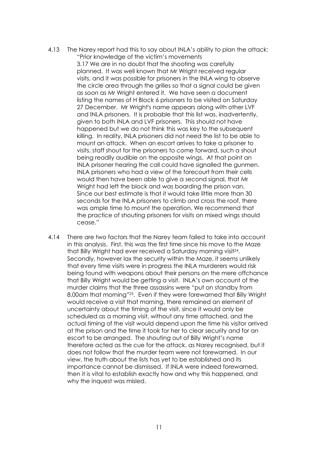4.13 The Narey report had this to say about INLA's ability to plan the attack: "Prior knowledge of the victim's movements

3.17 We are in no doubt that the shooting was carefully planned. It was well known that Mr Wright received regular visits, and it was possible for prisoners in the INLA wing to observe the circle area through the grilles so that a signal could be given as soon as Mr Wright entered it. We have seen a document listing the names of H Block 6 prisoners to be visited on Saturday 27 December. Mr Wright's name appears along with other LVF and INLA prisoners. It is probable that this list was, inadvertently, given to both INLA and LVF prisoners. This should not have happened but we do not think this was key to the subsequent killing. In reality, INLA prisoners did not need the list to be able to mount an attack. When an escort arrives to take a prisoner to visits, staff shout for the prisoners to come forward, such a shout being readily audible on the opposite wings. At that point an INLA prisoner hearing the call could have signalled the gunmen. INLA prisoners who had a view of the forecourt from their cells would then have been able to give a second signal, that Mr Wright had left the block and was boarding the prison van. Since our best estimate is that it would take little more than 30 seconds for the INLA prisoners to climb and cross the roof, there was ample time to mount the operation. We recommend that the practice of shouting prisoners for visits on mixed wings should cease."

4.14 There are two factors that the Narey team failed to take into account in this analysis. First, this was the first time since his move to the Maze that Billy Wright had ever received a Saturday morning visit24. Secondly, however lax the security within the Maze, it seems unlikely that every time visits were in progress the INLA murderers would risk being found with weapons about their persons on the mere offchance that Billy Wright would be getting a visit. INLA's own account of the murder claims that the three assassins were "put on standby from 8.00am that morning"25. Even if they were forewarned that Billy Wright would receive a visit that morning, there remained an element of uncertainty about the timing of the visit, since it would only be scheduled as a morning visit, without any time attached, and the actual timing of the visit would depend upon the time his visitor arrived at the prison and the time it took for her to clear security and for an escort to be arranged. The shouting out of Billy Wright's name therefore acted as the cue for the attack, as Narey recognised, but it does not follow that the murder team were not forewarned. In our view, the truth about the lists has yet to be established and its importance cannot be dismissed. If INLA were indeed forewarned, then it is vital to establish exactly how and why this happened, and why the inquest was misled.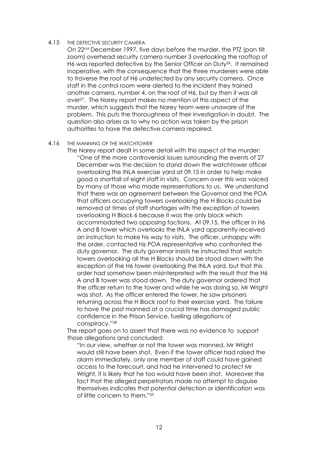#### 4.15 THE DEFECTIVE SECURITY CAMERA

On 22nd December 1997, five days before the murder, the PTZ (pan tilt zoom) overhead security camera number 3 overlooking the rooftop of H6 was reported defective by the Senior Officer on Duty<sup>26</sup>. It remained inoperative, with the consequence that the three murderers were able to traverse the roof of H6 undetected by any security camera. Once staff in the control room were alerted to the incident they trained another camera, number 4, on the roof of H6, but by then it was all over27. The Narey report makes no mention of this aspect of the murder, which suggests that the Narey team were unaware of the problem. This puts the thoroughness of their investigation in doubt. The question also arises as to why no action was taken by the prison authorities to have the defective camera repaired.

#### 4.16 THE MANNING OF THE WATCHTOWER

The Narey report dealt in some detail with this aspect of the murder: "One of the more controversial issues surrounding the events of 27 December was the decision to stand down the watchtower officer overlooking the INLA exercise yard at 09.15 in order to help make good a shortfall of eight staff in visits. Concern over this was voiced by many of those who made representations to us. We understand that there was an agreement between the Governor and the POA that officers occupying towers overlooking the H Blocks could be removed at times of staff shortages with the exception of towers overlooking H Block 6 because it was the only block which accommodated two opposing factions. At 09.15, the officer in H6 A and B tower which overlooks the INLA yard apparently received an instruction to make his way to visits. The officer, unhappy with the order, contacted his POA representative who confronted the duty governor. The duty governor insists he instructed that watch towers overlooking all the H Blocks should be stood down with the exception of the H6 tower overlooking the INLA yard, but that this order had somehow been misinterpreted with the result that the H6 A and B tower was stood down. The duty governor ordered that the officer return to the tower and while he was doing so, Mr Wright was shot. As the officer entered the tower, he saw prisoners returning across the H Block roof to their exercise yard. The failure to have the post manned at a crucial time has damaged public confidence in the Prison Service, fuelling allegations of conspiracy."28

The report goes on to assert that there was no evidence to support those allegations and concluded:

"In our view, whether or not the tower was manned, Mr Wright would still have been shot. Even if the tower officer had raised the alarm immediately, only one member of staff could have gained access to the forecourt, and had he intervened to protect Mr Wright, it is likely that he too would have been shot. Moreover the fact that the alleged perpetrators made no attempt to disguise themselves indicates that potential detection or identification was of little concern to them."29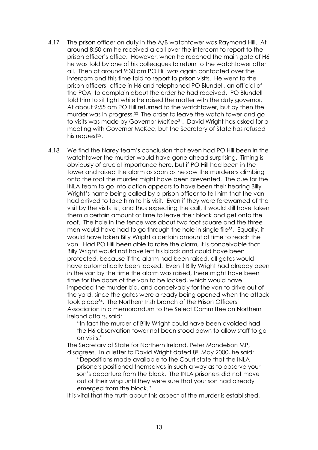- 4.17 The prison officer on duty in the A/B watchtower was Raymond Hill. At around 8:50 am he received a call over the intercom to report to the prison officer's office. However, when he reached the main gate of H6 he was told by one of his colleagues to return to the watchtower after all. Then at around 9:30 am PO Hill was again contacted over the intercom and this time told to report to prison visits. He went to the prison officers' office in H6 and telephoned PO Blundell, an official of the POA, to complain about the order he had received. PO Blundell told him to sit tight while he raised the matter with the duty governor. At about 9:55 am PO Hill returned to the watchtower, but by then the murder was in progress.30 The order to leave the watch tower and go to visits was made by Governor McKee<sup>31</sup>. David Wright has asked for a meeting with Governor McKee, but the Secretary of State has refused his request<sup>32</sup>.
- 4.18 We find the Narey team's conclusion that even had PO Hill been in the watchtower the murder would have gone ahead surprising. Timing is obviously of crucial importance here, but if PO Hill had been in the tower and raised the alarm as soon as he saw the murderers climbing onto the roof the murder might have been prevented. The cue for the INLA team to go into action appears to have been their hearing Billy Wright's name being called by a prison officer to tell him that the van had arrived to take him to his visit. Even if they were forewarned of the visit by the visits list, and thus expecting the call, it would still have taken them a certain amount of time to leave their block and get onto the roof. The hole in the fence was about two foot square and the three men would have had to go through the hole in single file<sup>33</sup>. Equally, it would have taken Billy Wright a certain amount of time to reach the van. Had PO Hill been able to raise the alarm, it is conceivable that Billy Wright would not have left his block and could have been protected, because if the alarm had been raised, all gates would have automatically been locked. Even if Billy Wright had already been in the van by the time the alarm was raised, there might have been time for the doors of the van to be locked, which would have impeded the murder bid, and conceivably for the van to drive out of the yard, since the gates were already being opened when the attack took place34. The Northern Irish branch of the Prison Officers' Association in a memorandum to the Select Committee on Northern Ireland affairs, said:

"In fact the murder of Billy Wright could have been avoided had the H6 observation tower not been stood down to allow staff to go on visits."

The Secretary of State for Northern Ireland, Peter Mandelson MP, disagrees. In a letter to David Wright dated 8<sup>th</sup> May 2000, he said:

"Depositions made available to the Court state that the INLA prisoners positioned themselves in such a way as to observe your son's departure from the block. The INLA prisoners did not move out of their wing until they were sure that your son had already emerged from the block."

It is vital that the truth about this aspect of the murder is established.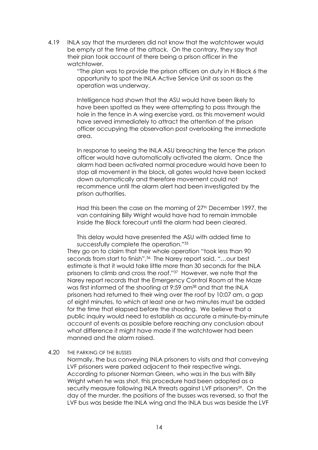4.19 INLA say that the murderers did not know that the watchtower would be empty at the time of the attack. On the contrary, they say that their plan took account of there being a prison officer in the watchtower.

> "The plan was to provide the prison officers on duty in H Block 6 the opportunity to spot the INLA Active Service Unit as soon as the operation was underway.

> Intelligence had shown that the ASU would have been likely to have been spotted as they were attempting to pass through the hole in the fence in A wing exercise yard, as this movement would have served immediately to attract the attention of the prison officer occupying the observation post overlooking the immediate area.

> In response to seeing the INLA ASU breaching the fence the prison officer would have automatically activated the alarm. Once the alarm had been activated normal procedure would have been to stop all movement in the block, all gates would have been locked down automatically and therefore movement could not recommence until the alarm alert had been investigated by the prison authorities.

> Had this been the case on the morning of 27<sup>th</sup> December 1997, the van containing Billy Wright would have had to remain immobile inside the Block forecourt until the alarm had been cleared.

This delay would have presented the ASU with added time to successfully complete the operation."35

They go on to claim that their whole operation "took less than 90 seconds from start to finish".36 The Narey report said, "…our best estimate is that it would take little more than 30 seconds for the INLA prisoners to climb and cross the roof."37 However, we note that the Narey report records that the Emergency Control Room at the Maze was first informed of the shooting at 9:59 am38 and that the INLA prisoners had returned to their wing over the roof by 10:07 am, a gap of eight minutes, to which at least one or two minutes must be added for the time that elapsed before the shooting. We believe that a public inquiry would need to establish as accurate a minute-by-minute account of events as possible before reaching any conclusion about what difference it might have made if the watchtower had been manned and the alarm raised.

#### 4.20 THE PARKING OF THE BUSSES

Normally, the bus conveying INLA prisoners to visits and that conveying LVF prisoners were parked adjacent to their respective wings. According to prisoner Norman Green, who was in the bus with Billy Wright when he was shot, this procedure had been adopted as a security measure following INLA threats against LVF prisoners<sup>39</sup>. On the day of the murder, the positions of the busses was reversed, so that the LVF bus was beside the INLA wing and the INLA bus was beside the LVF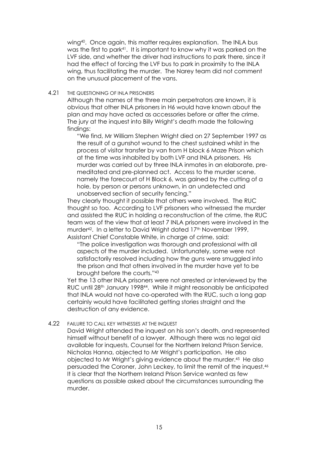wing<sup>40</sup>. Once again, this matter requires explanation. The INLA bus was the first to park<sup>41</sup>. It is important to know why it was parked on the LVF side, and whether the driver had instructions to park there, since it had the effect of forcing the LVF bus to park in proximity to the INLA wing, thus facilitating the murder. The Narey team did not comment on the unusual placement of the vans.

#### 4.21 THE QUESTIONING OF INLA PRISONERS

Although the names of the three main perpetrators are known, it is obvious that other INLA prisoners in H6 would have known about the plan and may have acted as accessories before or after the crime. The jury at the inquest into Billy Wright's death made the following findings:

"We find, Mr William Stephen Wright died on 27 September 1997 as the result of a gunshot wound to the chest sustained whilst in the process of visitor transfer by van from H block 6 Maze Prison which at the time was inhabited by both LVF and INLA prisoners. His murder was carried out by three INLA inmates in an elaborate, premeditated and pre-planned act. Access to the murder scene, namely the forecourt of H Block 6, was gained by the cutting of a hole, by person or persons unknown, in an undetected and unobserved section of security fencing."

They clearly thought it possible that others were involved. The RUC thought so too. According to LVF prisoners who witnessed the murder and assisted the RUC in holding a reconstruction of the crime, the RUC team was of the view that at least 7 INLA prisoners were involved in the murder<sup>42</sup>. In a letter to David Wright dated 17<sup>th</sup> November 1999, Assistant Chief Constable White, in charge of crime, said:

"The police investigation was thorough and professional with all aspects of the murder included. Unfortunately, some were not satisfactorily resolved including how the guns were smuggled into the prison and that others involved in the murder have yet to be brought before the courts."43

Yet the 13 other INLA prisoners were not arrested or interviewed by the RUC until 28th January 199844. While it might reasonably be anticipated that INLA would not have co-operated with the RUC, such a long gap certainly would have facilitated getting stories straight and the destruction of any evidence.

#### 4.22 FAILURE TO CALL KEY WITNESSES AT THE INQUEST

David Wright attended the inquest on his son's death, and represented himself without benefit of a lawyer. Although there was no legal aid available for inquests, Counsel for the Northern Ireland Prison Service, Nicholas Hanna, objected to Mr Wright's participation. He also objected to Mr Wright's giving evidence about the murder.45 He also persuaded the Coroner, John Leckey, to limit the remit of the inquest.46 It is clear that the Northern Ireland Prison Service wanted as few questions as possible asked about the circumstances surrounding the murder.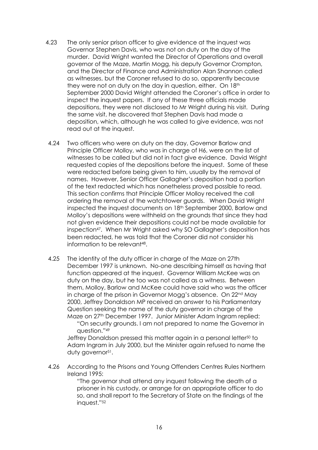- 4.23 The only senior prison officer to give evidence at the inquest was Governor Stephen Davis, who was not on duty on the day of the murder. David Wright wanted the Director of Operations and overall governor of the Maze, Martin Mogg, his deputy Governor Crompton, and the Director of Finance and Administration Alan Shannon called as witnesses, but the Coroner refused to do so, apparently because they were not on duty on the day in question, either. On 18<sup>th</sup> September 2000 David Wright attended the Coroner's office in order to inspect the inquest papers. If any of these three officials made depositions, they were not disclosed to Mr Wright during his visit. During the same visit, he discovered that Stephen Davis had made a deposition, which, although he was called to give evidence, was not read out at the inquest.
- 4.24 Two officers who were on duty on the day, Governor Barlow and Principle Officer Molloy, who was in charge of H6, were on the list of witnesses to be called but did not in fact give evidence. David Wright requested copies of the depositions before the inquest. Some of these were redacted before being given to him, usually by the removal of names. However, Senior Officer Gallagher's deposition had a portion of the text redacted which has nonetheless proved possible to read. This section confirms that Principle Officer Molloy received the call ordering the removal of the watchtower guards. When David Wright inspected the inquest documents on 18th September 2000, Barlow and Molloy's depositions were withheld on the grounds that since they had not given evidence their depositions could not be made available for inspection47. When Mr Wright asked why SO Gallagher's deposition has been redacted, he was told that the Coroner did not consider his information to be relevant48.
- 4.25 The identity of the duty officer in charge of the Maze on 27th December 1997 is unknown. No-one describing himself as having that function appeared at the inquest. Governor William McKee was on duty on the day, but he too was not called as a witness. Between them, Molloy, Barlow and McKee could have said who was the officer in charge of the prison in Governor Mogg's absence. On 22<sup>nd</sup> May 2000, Jeffrey Donaldson MP received an answer to his Parliamentary Question seeking the name of the duty governor in charge of the Maze on 27<sup>th</sup> December 1997. Junior Minister Adam Ingram replied:

"On security grounds. I am not prepared to name the Governor in question."49

Jeffrey Donaldson pressed this matter again in a personal letter<sup>50</sup> to Adam Ingram in July 2000, but the Minister again refused to name the duty governor<sup>51</sup>.

4.26 According to the Prisons and Young Offenders Centres Rules Northern Ireland 1995:

> "The governor shall attend any inquest following the death of a prisoner in his custody, or arrange for an appropriate officer to do so, and shall report to the Secretary of State on the findings of the inquest."52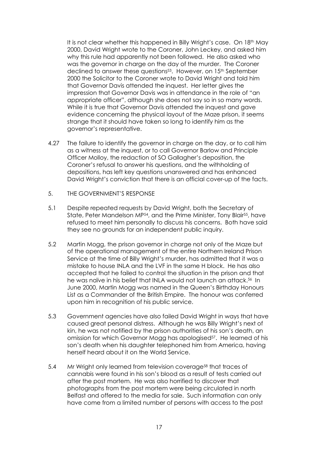It is not clear whether this happened in Billy Wright's case. On 18<sup>th</sup> May 2000, David Wright wrote to the Coroner, John Leckey, and asked him why this rule had apparently not been followed. He also asked who was the governor in charge on the day of the murder. The Coroner declined to answer these questions<sup>53</sup>. However, on 15<sup>th</sup> September 2000 the Solicitor to the Coroner wrote to David Wright and told him that Governor Davis attended the inquest. Her letter gives the impression that Governor Davis was in attendance in the role of "an appropriate officer", although she does not say so in so many words. While it is true that Governor Davis attended the inquest and gave evidence concerning the physical layout of the Maze prison, it seems strange that it should have taken so long to identify him as the governor's representative.

- 4.27 The failure to identify the governor in charge on the day, or to call him as a witness at the inquest, or to call Governor Barlow and Principle Officer Molloy, the redaction of SO Gallagher's deposition, the Coroner's refusal to answer his questions, and the withholding of depositions, has left key questions unanswered and has enhanced David Wright's conviction that there is an official cover-up of the facts.
- 5. THE GOVERNMENT'S RESPONSE
- 5.1 Despite repeated requests by David Wright, both the Secretary of State, Peter Mandelson MP<sup>54</sup>, and the Prime Minister, Tony Blair<sup>55</sup>, have refused to meet him personally to discuss his concerns. Both have said they see no grounds for an independent public inquiry.
- 5.2 Martin Mogg, the prison governor in charge not only of the Maze but of the operational management of the entire Northern Ireland Prison Service at the time of Billy Wright's murder, has admitted that it was a mistake to house INLA and the LVF in the same H block. He has also accepted that he failed to control the situation in the prison and that he was naïve in his belief that INLA would not launch an attack.<sup>56</sup> In June 2000, Martin Mogg was named in the Queen's Birthday Honours List as a Commander of the British Empire. The honour was conferred upon him in recognition of his public service.
- 5.3 Government agencies have also failed David Wright in ways that have caused great personal distress. Although he was Billy Wright's next of kin, he was not notified by the prison authorities of his son's death, an omission for which Governor Mogg has apologised<sup>57</sup>. He learned of his son's death when his daughter telephoned him from America, having herself heard about it on the World Service.
- 5.4 Mr Wright only learned from television coverage<sup>58</sup> that traces of cannabis were found in his son's blood as a result of tests carried out after the post mortem. He was also horrified to discover that photographs from the post mortem were being circulated in north Belfast and offered to the media for sale. Such information can only have come from a limited number of persons with access to the post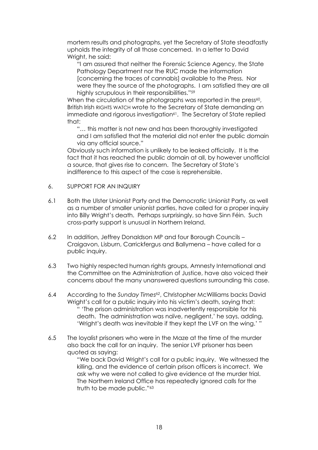mortem results and photographs, yet the Secretary of State steadfastly upholds the integrity of all those concerned. In a letter to David Wright, he said:

"I am assured that neither the Forensic Science Agency, the State Pathology Department nor the RUC made the information [concerning the traces of cannabis] available to the Press. Nor were they the source of the photographs. I am satisfied they are all highly scrupulous in their responsibilities."59

When the circulation of the photographs was reported in the press<sup>60</sup>, British Irish RIGHTS WATCH wrote to the Secretary of State demanding an immediate and rigorous investigation<sup>61</sup>. The Secretary of State replied that:

"… this matter is not new and has been thoroughly investigated and I am satisfied that the material did not enter the public domain via any official source."

Obviously such information is unlikely to be leaked officially. It is the fact that it has reached the public domain at all, by however unofficial a source, that gives rise to concern. The Secretary of State's indifference to this aspect of the case is reprehensible.

- 6. SUPPORT FOR AN INQUIRY
- 6.1 Both the Ulster Unionist Party and the Democratic Unionist Party, as well as a number of smaller unionist parties, have called for a proper inquiry into Billy Wright's death. Perhaps surprisingly, so have Sinn Féin. Such cross-party support is unusual in Northern Ireland.
- 6.2 In addition, Jeffrey Donaldson MP and four Borough Councils Craigavon, Lisburn, Carrickfergus and Ballymena – have called for a public inquiry.
- 6.3 Two highly respected human rights groups, Amnesty International and the Committee on the Administration of Justice, have also voiced their concerns about the many unanswered questions surrounding this case.
- 6.4 According to the *Sunday Times62*, Christopher McWilliams backs David Wright's call for a public inquiry into his victim's death, saying that: " 'The prison administration was inadvertently responsible for his death. The administration was naïve, negligent,' he says, adding, 'Wright's death was inevitable if they kept the LVF on the wing.' "
- 6.5 The loyalist prisoners who were in the Maze at the time of the murder also back the call for an inquiry. The senior LVF prisoner has been quoted as saying:

"We back David Wright's call for a public inquiry. We witnessed the killing, and the evidence of certain prison officers is incorrect. We ask why we were not called to give evidence at the murder trial. The Northern Ireland Office has repeatedly ignored calls for the truth to be made public."<sup>63</sup>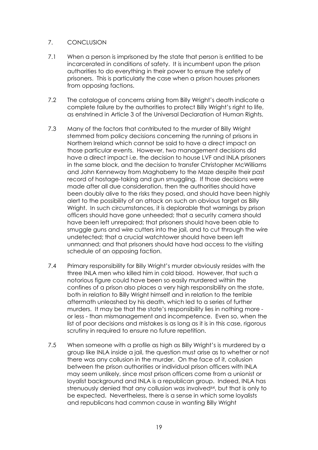# 7. CONCLUSION

- 7.1 When a person is imprisoned by the state that person is entitled to be incarcerated in conditions of safety. It is incumbent upon the prison authorities to do everything in their power to ensure the safety of prisoners. This is particularly the case when a prison houses prisoners from opposing factions.
- 7.2 The catalogue of concerns arising from Billy Wright's death indicate a complete failure by the authorities to protect Billy Wright's right to life, as enshrined in Article 3 of the Universal Declaration of Human Rights.
- 7.3 Many of the factors that contributed to the murder of Billy Wright stemmed from policy decisions concerning the running of prisons in Northern Ireland which cannot be said to have a direct impact on those particular events. However, two management decisions did have a direct impact i.e. the decision to house LVF and INLA prisoners in the same block, and the decision to transfer Christopher McWilliams and John Kenneway from Maghaberry to the Maze despite their past record of hostage-taking and gun smuggling. If those decisions were made after all due consideration, then the authorities should have been doubly alive to the risks they posed, and should have been highly alert to the possibility of an attack on such an obvious target as Billy Wright. In such circumstances, it is deplorable that warnings by prison officers should have gone unheeded; that a security camera should have been left unrepaired; that prisoners should have been able to smuggle guns and wire cutters into the jail, and to cut through the wire undetected; that a crucial watchtower should have been left unmanned; and that prisoners should have had access to the visiting schedule of an opposing faction.
- 7.4 Primary responsibility for Billy Wright's murder obviously resides with the three INLA men who killed him in cold blood. However, that such a notorious figure could have been so easily murdered within the confines of a prison also places a very high responsibility on the state, both in relation to Billy Wright himself and in relation to the terrible aftermath unleashed by his death, which led to a series of further murders. It may be that the state's responsibility lies in nothing more or less - than mismanagement and incompetence. Even so, when the list of poor decisions and mistakes is as long as it is in this case, rigorous scrutiny in required to ensure no future repetition.
- 7.5 When someone with a profile as high as Billy Wright's is murdered by a group like INLA inside a jail, the question must arise as to whether or not there was any collusion in the murder. On the face of it, collusion between the prison authorities or individual prison officers with INLA may seem unlikely, since most prison officers come from a unionist or loyalist background and INLA is a republican group. Indeed, INLA has strenuously denied that any collusion was involved<sup>64</sup>, but that is only to be expected. Nevertheless, there is a sense in which some loyalists and republicans had common cause in wanting Billy Wright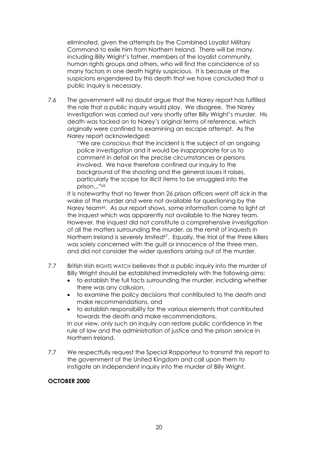eliminated, given the attempts by the Combined Loyalist Military Command to exile him from Northern Ireland. There will be many, including Billy Wright's father, members of the loyalist community, human rights groups and others, who will find the coincidence of so many factors in one death highly suspicious. It is because of the suspicions engendered by this death that we have concluded that a public inquiry is necessary.

7.6 The government will no doubt argue that the Narey report has fulfilled the role that a public inquiry would play. We disagree. The Narey investigation was carried out very shortly after Billy Wright's murder. His death was tacked on to Narey's original terms of reference, which originally were confined to examining an escape attempt. As the Narey report acknowledged:

"We are conscious that the incident is the subject of an ongoing police investigation and it would be inappropriate for us to comment in detail on the precise circumstances or persons involved. We have therefore confined our inquiry to the background of the shooting and the general issues it raises, particularly the scope for illicit items to be smuggled into the prison..."65

It is noteworthy that no fewer than 26 prison officers went off sick in the wake of the murder and were not available for questioning by the Narey team<sup>66</sup>. As our report shows, some information came to light at the inquest which was apparently not available to the Narey team. However, the inquest did not constitute a comprehensive investigation of all the matters surrounding the murder, as the remit of inquests in Northern Ireland is severely limited<sup>67</sup>. Equally, the trial of the three killers was solely concerned with the guilt or innocence of the three men, and did not consider the wider questions arising out of the murder.

- 7.7 British Irish RIGHTS WATCH believes that a public inquiry into the murder of Billy Wright should be established immediately with the following aims:
	- to establish the full facts surrounding the murder, including whether there was any collusion,
	- to examine the policy decisions that contributed to the death and make recommendations, and
	- to establish responsibility for the various elements that contributed towards the death and make recommendations.

In our view, only such an inquiry can restore public confidence in the rule of law and the administration of justice and the prison service in Northern Ireland.

7.7 We respectfully request the Special Rapporteur to transmit this report to the government of the United Kingdom and call upon them to instigate an independent inquiry into the murder of Billy Wright.

# OCTOBER 2000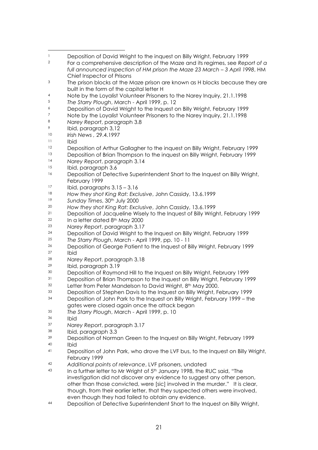- 1 Deposition of David Wright to the inquest on Billy Wright, February 1999<br>2 East a comprehensive description of the Maze and its regimes, see Bone
- For a comprehensive description of the Maze and its regimes, see *Report of a full announced inspection of HM prison the Maze 23 March – 3 April 1998*, HM Chief Inspector of Prisons
- <sup>3</sup> The prison blocks at the Maze prison are known as H blocks because they are built in the form of the capital letter H
- Note by the Loyalist Volunteer Prisoners to the Narey Inquiry, 21.1.1998
- *The Starry Plough*, March April 1999, p. 12
- Deposition of David Wright to the Inquest on Billy Wright, February 1999
- Note by the Loyalist Volunteer Prisoners to the Narey Inquiry, 21.1.1998
- *Narey Report*, paragraph 3.8
- Ibid, paragraph 3,12
- *Irish News ,* 29.4.1997
- $\frac{11}{12}$  Ibid
- Deposition of Arthur Gallagher to the inquest on Billy Wright, February 1999
- 13 Deposition of Brian Thompson to the inquest on Billy Wright, February 1999
- *Narey Report*, paragraph 3.14
- Ibid, paragraph 3.6
- Deposition of Detective Superintendent Short to the Inquest on Billy Wright, February 1999
- Ibid, paragraphs  $3.15 3.16$
- *How they shot King Rat: Exclusive*, John Cassidy, 13.6.1999
- *Sunday Times*, 30th July 2000
- *How they shot King Rat: Exclusive*, John Cassidy, 13.6.1999
- <sup>21</sup> Deposition of Jacqueline Wisely to the Inquest of Billy Wright, February 1999<br><sup>22</sup> In a letter dated 8<sup>th</sup> May 2000
- $\frac{22}{23}$  In a letter dated  $\frac{8 \text{th}}{23}$  Marsy Benefit personal parallel
- *Narey Report*, paragraph 3.17
- <sup>24</sup> Deposition of David Wright to the Inquest on Billy Wright, February 1999<br><sup>25</sup> The Starry Blough, March April 1999, pp. 10 11
- *The Starry Plough*, March April 1999, pp. 10 11
- <sup>26</sup> Deposition of George Patient to the Inquest of Billy Wright, February 1999 Ibid
- *Narey Report*, paragraph 3.18
- Ibid, paragraph 3.19
- Deposition of Raymond Hill to the Inquest on Billy Wright, February 1999
- Deposition of Brian Thompson to the Inquest on Billy Wright, February 1999
- <sup>32</sup> Letter from Peter Mandelson to David Wright, 8<sup>th</sup> May 2000.
- Deposition of Stephen Davis to the Inquest on Billy Wright, February 1999
- Deposition of John Park to the Inquest on Billy Wright, February 1999 the gates were closed again once the attack began
- *The Starry Plough*, March April 1999, p. 10
- Ibid<br> $37$  Nare
- *Narey Report*, paragraph 3.17
- Ibid, paragraph  $3.3$ <br> $39$  Deposition of Norma
- Deposition of Norman Green to the Inquest on Billy Wright, February 1999 Ibid
- 41 Deposition of John Park, who drove the LVF bus, to the Inquest on Billy Wright, February 1999
- *Additional points of relevance*, LVF prisoners, undated
- In a further letter to Mr Wright of 5<sup>th</sup> January 1998, the RUC said, "The investigation did not discover any evidence to suggest any other person, other than those convicted, were [sic] involved in the murder." It is clear, though, from their earlier letter, that they suspected others were involved, even though they had failed to obtain any evidence.
- Deposition of Detective Superintendent Short to the Inquest on Billy Wright,